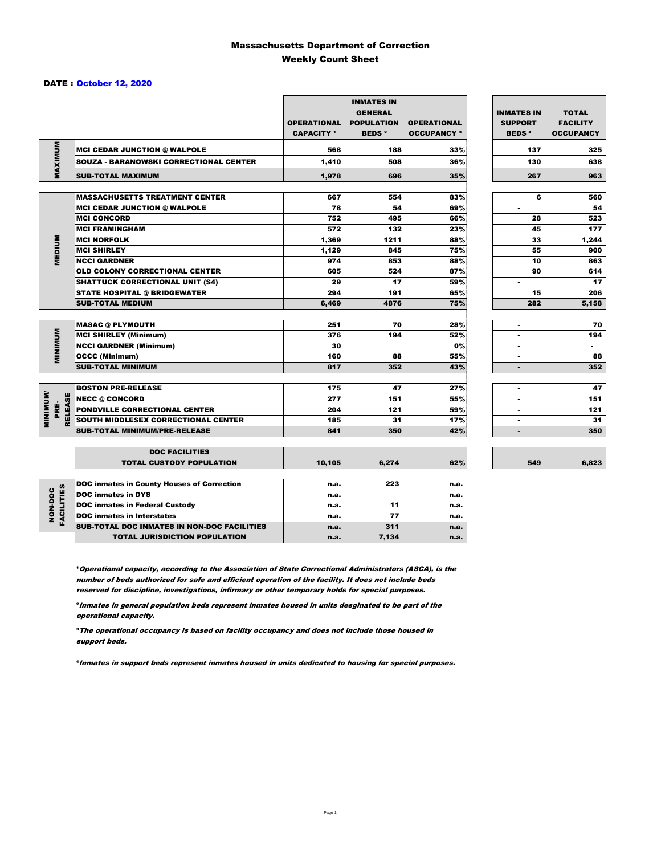### Massachusetts Department of Correction Weekly Count Sheet

#### DATE : October 12, 2020

|                                   |                                                   | <b>OPERATIONAL</b><br><b>CAPACITY</b> 1 | <b>INMATES IN</b><br><b>GENERAL</b><br><b>POPULATION</b><br><b>BEDS<sup>2</sup></b> | <b>OPERATIONAL</b><br><b>OCCUPANCY 3</b> | <b>INMATES IN</b><br><b>SUPPORT</b><br><b>BEDS<sup>4</sup></b> | <b>TOTAL</b><br><b>FACILITY</b><br><b>OCCUPANCY</b> |
|-----------------------------------|---------------------------------------------------|-----------------------------------------|-------------------------------------------------------------------------------------|------------------------------------------|----------------------------------------------------------------|-----------------------------------------------------|
|                                   | <b>MCI CEDAR JUNCTION @ WALPOLE</b>               | 568                                     | 188                                                                                 | 33%                                      | 137                                                            | 325                                                 |
|                                   | <b>SOUZA - BARANOWSKI CORRECTIONAL CENTER</b>     | 1,410                                   | 508                                                                                 | 36%                                      | 130                                                            | 638                                                 |
| MAXIMUM                           | <b>SUB-TOTAL MAXIMUM</b>                          | 1.978                                   | 696                                                                                 | 35%                                      | 267                                                            | 963                                                 |
|                                   |                                                   |                                         |                                                                                     |                                          |                                                                |                                                     |
|                                   | <b>MASSACHUSETTS TREATMENT CENTER</b>             | 667                                     | 554                                                                                 | 83%                                      | 6                                                              | 560                                                 |
|                                   | <b>MCI CEDAR JUNCTION @ WALPOLE</b>               | 78                                      | 54                                                                                  | 69%                                      | ٠                                                              | 54                                                  |
|                                   | <b>MCI CONCORD</b>                                | 752                                     | 495                                                                                 | 66%                                      | 28                                                             | 523                                                 |
|                                   | <b>MCI FRAMINGHAM</b>                             | 572                                     | 132                                                                                 | 23%                                      | 45                                                             | 177                                                 |
|                                   | <b>MCI NORFOLK</b>                                | 1,369                                   | 1211                                                                                | 88%                                      | 33                                                             | 1,244                                               |
| <b>MEDIUM</b>                     | <b>MCI SHIRLEY</b>                                | 1,129                                   | 845                                                                                 | 75%                                      | 55                                                             | 900                                                 |
|                                   | <b>NCCI GARDNER</b>                               | 974                                     | 853                                                                                 | 88%                                      | 10                                                             | 863                                                 |
|                                   | <b>OLD COLONY CORRECTIONAL CENTER</b>             | 605                                     | 524                                                                                 | 87%                                      | 90                                                             | 614                                                 |
|                                   | <b>SHATTUCK CORRECTIONAL UNIT (S4)</b>            | 29                                      | 17                                                                                  | 59%                                      | ٠                                                              | 17                                                  |
|                                   | <b>STATE HOSPITAL @ BRIDGEWATER</b>               | 294                                     | 191                                                                                 | 65%                                      | 15                                                             | 206                                                 |
|                                   | <b>SUB-TOTAL MEDIUM</b>                           | 6,469                                   | 4876                                                                                | 75%                                      | 282                                                            | 5,158                                               |
|                                   | <b>MASAC @ PLYMOUTH</b>                           | 251                                     | 70                                                                                  | 28%                                      | ٠                                                              | 70                                                  |
|                                   | <b>MCI SHIRLEY (Minimum)</b>                      | 376                                     | 194                                                                                 | 52%                                      |                                                                | 194                                                 |
| <b>MINIMUM</b>                    |                                                   | 30                                      |                                                                                     | 0%                                       | ٠                                                              | $\sim$                                              |
|                                   | <b>NCCI GARDNER (Minimum)</b>                     | 160                                     | 88                                                                                  | 55%                                      | $\blacksquare$                                                 | 88                                                  |
|                                   | <b>OCCC (Minimum)</b><br><b>SUB-TOTAL MINIMUM</b> | 817                                     | 352                                                                                 | 43%                                      | ۰                                                              | 352                                                 |
|                                   |                                                   |                                         |                                                                                     |                                          |                                                                |                                                     |
|                                   | <b>BOSTON PRE-RELEASE</b>                         | 175                                     | 47                                                                                  | 27%                                      | $\blacksquare$                                                 | 47                                                  |
| <b>MINIMIMU</b><br><b>RELEASE</b> | <b>NECC @ CONCORD</b>                             | 277                                     | 151                                                                                 | 55%                                      | ٠                                                              | 151                                                 |
| PRE-                              | <b>PONDVILLE CORRECTIONAL CENTER</b>              | 204                                     | 121                                                                                 | 59%                                      | ٠                                                              | 121                                                 |
|                                   | SOUTH MIDDLESEX CORRECTIONAL CENTER               | 185                                     | 31                                                                                  | 17%                                      | $\blacksquare$                                                 | 31                                                  |
|                                   | <b>SUB-TOTAL MINIMUM/PRE-RELEASE</b>              | 841                                     | 350                                                                                 | 42%                                      |                                                                | 350                                                 |
|                                   | <b>DOC FACILITIES</b>                             |                                         |                                                                                     |                                          |                                                                |                                                     |
|                                   | <b>TOTAL CUSTODY POPULATION</b>                   | 10,105                                  | 6,274                                                                               | 62%                                      | 549                                                            | 6,823                                               |
|                                   | DOC inmates in County Houses of Correction        | n.a.                                    | 223                                                                                 | n.a.                                     |                                                                |                                                     |
| <b>FACILITIES</b>                 | <b>DOC</b> inmates in DYS                         | n.a.                                    |                                                                                     | n.a.                                     |                                                                |                                                     |
| NON-DOC                           | <b>DOC inmates in Federal Custody</b>             | n.a.                                    | 11                                                                                  | n.a.                                     |                                                                |                                                     |
|                                   | <b>DOC</b> inmates in Interstates                 | n.a.                                    | 77                                                                                  | n.a.                                     |                                                                |                                                     |
|                                   | CUB TOTAL BOO INIMETED IN NON-BOO FAOILITIED      |                                         | 24.4                                                                                |                                          |                                                                |                                                     |

6,823

**Operational capacity, according to the Association of State Correctional Administrators (ASCA), is the** number of beds authorized for safe and efficient operation of the facility. It does not include beds reserved for discipline, investigations, infirmary or other temporary holds for special purposes.

SUB-TOTAL DOC INMATES IN NON-DOC FACILITIES n.a. 311 h.a.

TOTAL JURISDICTION POPULATION **n.a.** 7,134 n.a.

²Inmates in general population beds represent inmates housed in units desginated to be part of the operational capacity.

³The operational occupancy is based on facility occupancy and does not include those housed in support beds.

⁴Inmates in support beds represent inmates housed in units dedicated to housing for special purposes.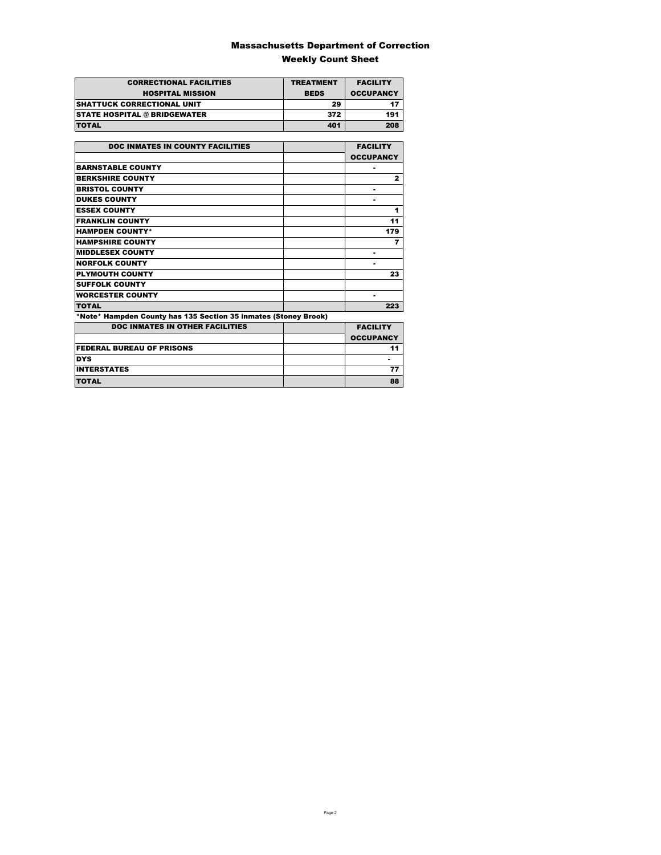### Massachusetts Department of Correction Weekly Count Sheet

| <b>CORRECTIONAL FACILITIES</b>      | <b>TREATMENT</b> | <b>FACILITY</b>  |
|-------------------------------------|------------------|------------------|
| <b>HOSPITAL MISSION</b>             | <b>BEDS</b>      | <b>OCCUPANCY</b> |
| <b>ISHATTUCK CORRECTIONAL UNIT</b>  | 29               |                  |
| <b>STATE HOSPITAL @ BRIDGEWATER</b> | 372              | 191              |
| <b>TOTAL</b>                        | 401              | 208              |

| <b>DOC INMATES IN COUNTY FACILITIES</b>                         | <b>FACILITY</b>  |
|-----------------------------------------------------------------|------------------|
|                                                                 |                  |
|                                                                 | <b>OCCUPANCY</b> |
| <b>BARNSTABLE COUNTY</b>                                        |                  |
| <b>BERKSHIRE COUNTY</b>                                         | $\mathbf{z}$     |
| <b>BRISTOL COUNTY</b>                                           |                  |
| <b>DUKES COUNTY</b>                                             |                  |
| <b>ESSEX COUNTY</b>                                             | 1                |
| <b>FRANKLIN COUNTY</b>                                          | 11               |
| <b>HAMPDEN COUNTY*</b>                                          | 179              |
| <b>HAMPSHIRE COUNTY</b>                                         | 7                |
| <b>MIDDLESEX COUNTY</b>                                         |                  |
| <b>NORFOLK COUNTY</b>                                           | ۰                |
| <b>PLYMOUTH COUNTY</b>                                          | 23               |
| <b>SUFFOLK COUNTY</b>                                           |                  |
| <b>WORCESTER COUNTY</b>                                         |                  |
| <b>TOTAL</b>                                                    | 223              |
| *Note* Hampden County has 135 Section 35 inmates (Stoney Brook) |                  |
| <b>DOC INMATES IN OTHER FACILITIES</b>                          | <b>FACILITY</b>  |
|                                                                 | <b>OCCUPANCY</b> |
| <b>FEDERAL BUREAU OF PRISONS</b>                                | 11               |
| <b>DYS</b>                                                      |                  |
| <b>INTERSTATES</b>                                              | 77               |
| <b>TOTAL</b>                                                    | 88               |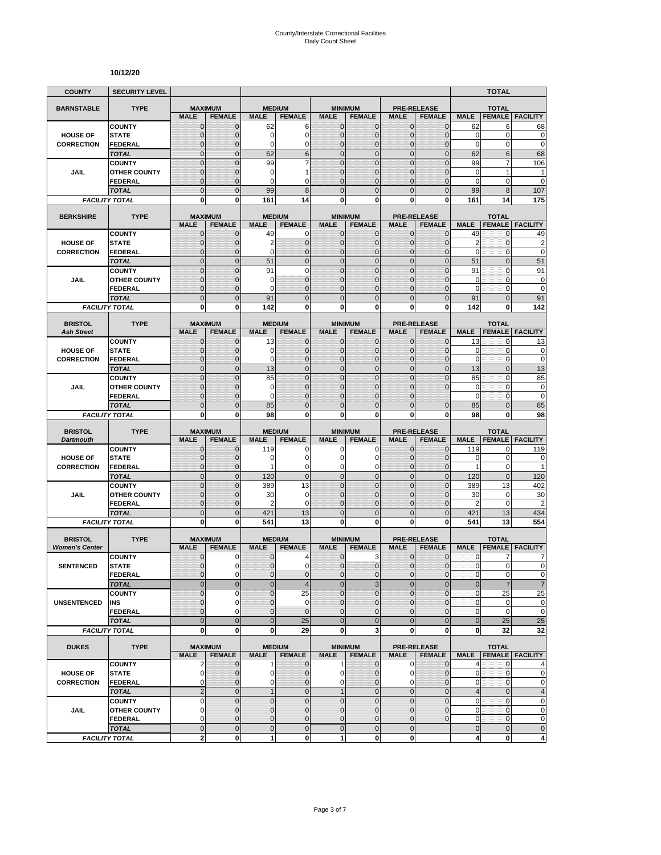#### **10/12/20**

| <b>COUNTY</b>                        | <b>SECURITY LEVEL</b>                 |                               |                                |                             |                                  |                             |                                 |                             |                                     |                            | <b>TOTAL</b>                 |                            |
|--------------------------------------|---------------------------------------|-------------------------------|--------------------------------|-----------------------------|----------------------------------|-----------------------------|---------------------------------|-----------------------------|-------------------------------------|----------------------------|------------------------------|----------------------------|
| <b>BARNSTABLE</b>                    | <b>TYPE</b>                           | <b>MAXIMUM</b>                |                                | <b>MEDIUM</b>               |                                  |                             | <b>MINIMUM</b>                  |                             | <b>PRE-RELEASE</b>                  |                            | <b>TOTAL</b>                 |                            |
|                                      |                                       | <b>MALE</b>                   | <b>FEMALE</b>                  | <b>MALE</b>                 | <b>FEMALE</b>                    | <b>MALE</b>                 | <b>FEMALE</b>                   | <b>MALE</b>                 | <b>FEMALE</b>                       | <b>MALE</b>                | <b>FEMALE</b>                | <b>FACILITY</b>            |
|                                      | <b>COUNTY</b>                         | $\mathbf 0$                   | $\mathbf{0}$                   | 62                          | 6                                | $\mathbf 0$                 | 0                               | $\mathbf{0}$                | $\mathbf{0}$                        | 62                         | 6                            | 68                         |
| <b>HOUSE OF</b>                      | <b>STATE</b>                          | $\overline{0}$                | $\mathbf 0$                    | 0<br>0                      | $\overline{0}$<br>0              | $\mathbf 0$<br>$\mathbf{0}$ | $\overline{0}$                  | $\mathbf{0}$                | $\overline{0}$                      | $\mathbf 0$<br>$\mathbf 0$ | $\mathbf 0$<br>0             | $\mathbf 0$<br>$\mathbf 0$ |
| <b>CORRECTION</b>                    | FEDERAL<br><b>TOTAL</b>               | $\mathbf 0$<br>$\mathbf 0$    | $\mathbf{0}$<br>$\mathbf{0}$   | 62                          | 6                                | $\overline{0}$              | $\mathbf 0$<br>$\mathbf 0$      | $\mathbf 0$<br>$\mathbf{0}$ | $\overline{0}$<br>$\mathbf 0$       | 62                         | 6                            | 68                         |
|                                      | <b>COUNTY</b>                         | $\mathbf 0$                   | $\mathbf{0}$                   | 99                          | 7                                | $\mathbf 0$                 | $\mathbf 0$                     | $\mathbf 0$                 | $\overline{0}$                      | 99                         | 7                            | 106                        |
| JAIL                                 | <b>OTHER COUNTY</b>                   | $\mathbf 0$                   | $\mathbf{0}$                   | 0                           | 1                                | $\mathbf{0}$                | $\overline{0}$                  | $\mathbf 0$                 | $\overline{0}$                      | $\mathbf 0$                | 1                            | 1                          |
|                                      | <b>FEDERAL</b>                        | $\overline{0}$                | $\mathbf{0}$                   | 0                           | C                                | $\Omega$                    | $\overline{0}$                  | $\Omega$                    | $\overline{0}$                      | $\mathbf 0$                | 0                            | $\overline{0}$             |
|                                      | <b>TOTAL</b>                          | $\overline{0}$                | $\Omega$                       | 99                          | 8                                | $\Omega$                    | $\overline{0}$                  | $\Omega$                    | $\overline{0}$                      | 99                         | 8                            | 107                        |
|                                      | <b>FACILITY TOTAL</b>                 | 0                             | 0                              | 161                         | 14                               | $\mathbf{0}$                | 0                               | 0                           | 0                                   | 161                        | 14                           | 175                        |
| <b>BERKSHIRE</b>                     | <b>TYPE</b>                           | <b>MAXIMUM</b>                |                                |                             | <b>MEDIUM</b>                    |                             | <b>MINIMUM</b>                  |                             | <b>PRE-RELEASE</b>                  |                            | <b>TOTAL</b>                 |                            |
|                                      |                                       | <b>MALE</b>                   | <b>FEMALE</b>                  | <b>MALE</b>                 | <b>FEMALE</b>                    | <b>MALE</b>                 | <b>FEMALE</b>                   | <b>MALE</b>                 | <b>FEMALE</b>                       | <b>MALE</b>                | <b>FEMALE</b>                | <b>FACILITY</b>            |
|                                      | <b>COUNTY</b>                         | $\mathbf{0}$                  | $\mathbf 0$                    | 49                          | 0                                | $\mathbf{0}$                | $\mathbf 0$                     | $\mathbf{0}$                | $\mathbf 0$                         | 49                         | 0                            | 49                         |
| <b>HOUSE OF</b>                      | <b>STATE</b>                          | 0                             | $\mathbf{0}$                   | 2                           | $\mathbf 0$                      | $\mathbf{0}$                | $\mathbf 0$                     | $\mathbf{0}$                | $\mathbf{0}$                        | $\overline{2}$             | 0                            | $\overline{c}$             |
| <b>CORRECTION</b>                    | <b>FEDERAL</b>                        | $\mathbf 0$                   | $\mathbf 0$                    | 0                           | $\overline{0}$                   | $\mathbf{0}$                | $\overline{0}$                  | $\mathbf{0}$                | $\mathbf 0$                         | $\mathbf 0$                | 0                            | $\mathbf 0$                |
|                                      | <b>TOTAL</b>                          | $\overline{0}$                | $\mathbf{0}$                   | 51                          | $\overline{0}$                   | $\overline{0}$              | $\overline{0}$                  | $\mathbf{0}$                | $\overline{0}$                      | 51                         | $\overline{0}$               | 51                         |
|                                      | <b>COUNTY</b>                         | $\overline{0}$                | $\overline{0}$<br>$\mathbf{0}$ | 91                          | $\overline{0}$<br>$\overline{0}$ | $\mathbf 0$<br>$\mathbf{0}$ | $\overline{0}$<br>$\mathbf 0$   | $\overline{0}$<br>$\Omega$  | $\overline{0}$<br>$\mathbf{0}$      | 91<br>$\mathbf 0$          | $\mathbf{0}$<br>$\mathbf{0}$ | 91                         |
| <b>JAIL</b>                          | <b>OTHER COUNTY</b><br><b>FEDERAL</b> | 0<br>$\mathbf 0$              | $\mathbf{0}$                   | 0<br>0                      | $\overline{0}$                   | $\mathbf{0}$                | $\overline{0}$                  | $\mathbf 0$                 | $\overline{0}$                      | $\mathbf 0$                | $\mathbf{0}$                 | 0<br>$\mathbf 0$           |
|                                      | <b>TOTAL</b>                          | $\mathbf 0$                   | $\mathbf{0}$                   | 91                          | $\overline{0}$                   | $\mathbf{0}$                | $\mathbf 0$                     | $\mathbf{0}$                | $\mathbf 0$                         | 91                         | $\overline{0}$               | 91                         |
|                                      | <b>FACILITY TOTAL</b>                 | 0                             | $\mathbf{0}$                   | 142                         | 0                                | 0                           | $\bf{0}$                        | 0                           | 0                                   | 142                        | 0                            | 142                        |
|                                      |                                       |                               |                                |                             |                                  |                             |                                 |                             |                                     |                            |                              |                            |
| <b>BRISTOL</b>                       | <b>TYPE</b>                           | <b>MAXIMUM</b>                |                                |                             | <b>MEDIUM</b>                    |                             | <b>MINIMUM</b>                  |                             | <b>PRE-RELEASE</b>                  |                            | <b>TOTAL</b>                 |                            |
| <b>Ash Street</b>                    | <b>COUNTY</b>                         | <b>MALE</b><br>0              | <b>FEMALE</b><br>$\mathbf{0}$  | <b>MALE</b><br>13           | <b>FEMALE</b><br>0               | <b>MALE</b><br>$\mathbf 0$  | <b>FEMALE</b><br>0              | <b>MALE</b><br>$\mathbf{0}$ | <b>FEMALE</b><br>$\mathbf{0}$       | <b>MALE</b><br>13          | <b>FEMALE</b><br>0           | <b>FACILITY</b><br>13      |
| <b>HOUSE OF</b>                      | <b>STATE</b>                          | $\mathbf{0}$                  | $\mathbf{0}$                   | 0                           | $\mathbf 0$                      | $\mathbf{0}$                | $\mathbf{0}$                    | $\mathbf{0}$                | $\mathbf{0}$                        | 0                          | 0                            | 0                          |
| <b>CORRECTION</b>                    | <b>FEDERAL</b>                        | $\mathbf{0}$                  | $\mathbf{0}$                   | 0                           | $\mathbf{0}$                     | $\mathbf{0}$                | $\overline{0}$                  | $\mathbf{0}$                | $\overline{0}$                      | $\mathbf 0$                | 0                            | $\mathbf 0$                |
|                                      | <b>TOTAL</b>                          | $\overline{0}$                | $\overline{0}$                 | 13                          | $\overline{0}$                   | $\mathbf 0$                 | $\overline{0}$                  | $\mathbf{0}$                | $\overline{0}$                      | 13                         | $\overline{0}$               | 13                         |
|                                      | <b>COUNTY</b>                         | $\overline{0}$                | $\overline{0}$                 | 85                          | $\overline{0}$                   | $\mathbf 0$                 | $\overline{0}$                  | $\overline{0}$              | $\overline{0}$                      | 85                         | $\overline{0}$               | 85                         |
| JAIL                                 | <b>OTHER COUNTY</b>                   | $\mathbf 0$                   | $\mathbf 0$                    | 0                           | $\overline{0}$                   | $\mathbf{0}$                | $\overline{0}$                  | $\mathbf 0$                 | $\overline{0}$                      | $\mathbf 0$                | $\mathbf{0}$                 | $\mathbf 0$                |
|                                      | FEDERAL                               | $\overline{0}$                | $\mathbf{0}$                   | 0                           | $\overline{0}$                   | $\Omega$                    | $\overline{0}$                  | $\Omega$                    |                                     | $\mathbf 0$                | 0                            | $\mathbf 0$                |
|                                      | <b>TOTAL</b>                          | $\overline{0}$                | $\mathbf{0}$                   | 85                          | $\overline{0}$                   | $\overline{0}$              | $\overline{0}$                  | $\overline{0}$              | $\overline{0}$                      | 85                         | $\overline{0}$               | 85                         |
|                                      | <b>FACILITY TOTAL</b>                 | 0                             | 0                              | 98                          | 0                                | 0                           | 0                               | 0                           | 0                                   | 98                         | 0                            | 98                         |
| <b>BRISTOL</b>                       | <b>TYPE</b>                           | <b>MAXIMUM</b>                |                                |                             | <b>MEDIUM</b>                    |                             | <b>MINIMUM</b>                  |                             | <b>PRE-RELEASE</b>                  |                            | <b>TOTAL</b>                 |                            |
| <b>Dartmouth</b>                     |                                       | <b>MALE</b>                   | <b>FEMALE</b>                  | <b>MALE</b>                 | <b>FEMALE</b>                    | <b>MALE</b>                 | <b>FEMALE</b>                   | <b>MALE</b>                 | <b>FEMALE</b>                       | <b>MALE</b>                | <b>FEMALE</b>                | <b>FACILITY</b>            |
|                                      | <b>COUNTY</b>                         | $\mathbf 0$                   | $\mathbf 0$                    | 119                         | 0<br>$\overline{0}$              | 0                           | 0                               | 0                           | 0                                   | 119                        | 0<br>$\mathbf 0$             | 119                        |
| <b>HOUSE OF</b><br><b>CORRECTION</b> | <b>STATE</b><br><b>FEDERAL</b>        | $\mathbf 0$<br>$\mathbf 0$    | $\mathbf{0}$<br>$\mathbf{0}$   | 0<br>1                      | 0                                | $\Omega$<br>$\mathbf 0$     | 0<br>0                          | $\Omega$<br>$\mathbf 0$     | $\mathbf{0}$<br>$\mathbf{0}$        | 0<br>$\mathbf{1}$          | 0                            | 0<br>1                     |
|                                      | <b>TOTAL</b>                          | $\mathbf 0$                   | $\mathbf{0}$                   | 120                         | $\mathbf 0$                      | $\overline{0}$              | $\mathbf 0$                     | $\mathbf{0}$                | $\overline{0}$                      | 120                        | $\mathbf 0$                  | 120                        |
|                                      | <b>COUNTY</b>                         | $\mathbf 0$                   | $\mathbf{0}$                   | 389                         | 13                               | $\mathbf{0}$                | $\mathbf 0$                     | $\mathbf{0}$                | $\mathbf 0$                         | 389                        | 13                           | 402                        |
| JAIL                                 | <b>OTHER COUNTY</b>                   | $\overline{0}$                | $\mathbf{0}$                   | 30                          | $\mathbf 0$                      | $\mathbf{0}$                | $\overline{0}$                  | $\mathbf 0$                 | $\overline{0}$                      | 30                         | 0                            | 30                         |
|                                      | FEDERAL                               | $\mathbf 0$                   | $\mathbf{0}$                   | 2                           | 0                                | $\mathbf{0}$                | 0                               | $\mathbf{0}$                | $\mathbf 0$                         | $\overline{2}$             | $\mathbf 0$                  | $\overline{c}$             |
|                                      | <b>TOTAL</b>                          | $\mathbf 0$                   | $\overline{0}$                 | 421                         | 13                               | $\mathbf 0$                 | $\mathbf 0$                     | $\overline{0}$              | $\mathbf 0$                         | 421                        | 13                           | 434                        |
|                                      | <b>FACILITY TOTAL</b>                 | $\mathbf 0$                   | $\mathbf{0}$                   | 541                         | 13                               | $\mathbf{0}$                | $\bf{0}$                        | 0                           | 0                                   | 541                        | 13                           | 554                        |
| <b>BRISTOL</b>                       | <b>TYPE</b>                           | <b>MAXIMUM</b>                |                                |                             | <b>MEDIUM</b>                    |                             | <b>MINIMUM</b>                  |                             | <b>PRE-RELEASE</b>                  |                            | <b>TOTAL</b>                 |                            |
| <b>Women's Center</b>                |                                       | <b>MALE</b>                   | <b>FEMALE</b>                  | <b>MALE</b>                 | <b>FEMALE</b>                    | <b>MALE</b>                 | <b>FEMALE</b>                   | <b>MALE</b>                 | <b>FEMALE</b>                       | <b>MALE</b>                | <b>FEMALE</b>                | <b>FACILITY</b>            |
|                                      | <b>COUNTY</b>                         | 0                             | 0                              | 0                           | 4                                | $\mathbf 0$                 | 3                               | 0                           | $\mathbf 0$                         | 0                          | 7                            | 7                          |
| <b>SENTENCED</b>                     | <b>STATE</b>                          | $\overline{0}$                | $\Omega$                       | $\overline{0}$              | $\mathbf 0$                      | $\overline{0}$              | $\mathbf 0$                     | $\mathbf{0}$                | $\mathbf{0}$                        | $\mathbf{0}$               | $\overline{0}$               | $\mathbf 0$                |
|                                      | <b>FEDERAL</b>                        | 0                             | $\mathbf 0$                    | 0                           | $\mathbf 0$                      | $\mathbf{0}$                | $\mathbf 0$                     | $\mathbf 0$                 | $\mathbf 0$                         | $\pmb{0}$                  | 0                            | $\pmb{0}$                  |
|                                      | <b>TOTAL</b>                          | $\mathbf 0$                   | $\mathbf{0}$                   | $\overline{0}$              | $\overline{\mathcal{A}}$         | $\mathbf{0}$                | 3                               | $\mathbf{0}$                | $\overline{0}$                      | $\mathbf 0$                | $\overline{7}$               | $\overline{7}$             |
|                                      | <b>COUNTY</b>                         | $\mathbf 0$                   | $\mathbf 0$<br>$\mathbf 0$     | $\overline{0}$<br>$\pmb{0}$ | 25<br>$\mathbf 0$                | $\Omega$<br>$\mathbf 0$     | $\overline{0}$                  | $\mathbf 0$<br>$\mathbf{0}$ | $\overline{0}$<br>$\mathbf{0}$      | $\pmb{0}$<br>$\pmb{0}$     | 25<br>0                      | 25<br>$\pmb{0}$            |
| <b>UNSENTENCED</b>                   | INS<br><b>FEDERAL</b>                 | 0<br>$\overline{0}$           | $\Omega$                       | $\overline{0}$              | $\overline{0}$                   | $\mathbf{0}$                | 0<br>$\overline{0}$             | $\mathbf 0$                 | $\overline{0}$                      | $\pmb{0}$                  | $\pmb{0}$                    | $\mathbf 0$                |
|                                      | <b>TOTAL</b>                          | $\overline{0}$                | $\mathbf{0}$                   | $\mathbf 0$                 | 25                               | $\overline{0}$              | $\overline{0}$                  | $\overline{0}$              | $\overline{0}$                      | $\bf 0$                    | 25                           | 25                         |
|                                      | <b>FACILITY TOTAL</b>                 | $\mathbf 0$                   | $\mathbf{0}$                   | 0                           | 29                               | $\mathbf{0}$                | 3                               | $\mathbf 0$                 | 0                                   | 0                          | 32                           | 32                         |
|                                      |                                       |                               |                                |                             |                                  |                             |                                 |                             |                                     |                            |                              |                            |
| <b>DUKES</b>                         | <b>TYPE</b>                           | <b>MAXIMUM</b><br><b>MALE</b> | <b>FEMALE</b>                  | <b>MALE</b>                 | <b>MEDIUM</b><br><b>FEMALE</b>   | <b>MALE</b>                 | <b>MINIMUM</b><br><b>FEMALE</b> | <b>MALE</b>                 | <b>PRE-RELEASE</b><br><b>FEMALE</b> |                            | <b>TOTAL</b>                 | MALE   FEMALE   FACILITY   |
|                                      | <b>COUNTY</b>                         | $\overline{2}$                | $\mathbf{0}$                   | 1                           | $\mathbf 0$                      | $\mathbf{1}$                | $\mathbf{0}$                    | $\mathbf 0$                 | $\overline{0}$                      | 4                          | $\mathbf{0}$                 | 4                          |
| <b>HOUSE OF</b>                      | <b>STATE</b>                          | $\mathbf 0$                   | 0                              | 0                           | $\overline{0}$                   | $\overline{0}$              | 0                               | 0                           | $\overline{0}$                      | 0                          | 0                            | $\mathbf 0$                |
| <b>CORRECTION</b>                    | <b>FEDERAL</b>                        | 0                             | $\mathbf{0}$                   | 0                           | $\mathbf 0$                      | $\overline{0}$              | $\overline{0}$                  | $\mathbf 0$                 | $\overline{0}$                      | 0                          | 0                            | $\pmb{0}$                  |
|                                      | <b>TOTAL</b>                          | $\overline{2}$                | $\mathbf 0$                    | $\mathbf{1}$                | $\mathbf 0$                      | 1                           | $\mathbf 0$                     | $\mathbf 0$                 | $\overline{0}$                      | $\overline{4}$             | $\mathbf 0$                  | $\overline{\mathbf{4}}$    |
|                                      | <b>COUNTY</b>                         | 0                             | $\mathbf 0$                    | $\pmb{0}$                   | $\mathbf 0$                      | $\mathbf 0$                 | $\mathbf 0$                     | $\mathbf 0$                 | $\mathbf 0$                         | 0                          | $\pmb{0}$                    | $\pmb{0}$                  |
| JAIL                                 | <b>OTHER COUNTY</b>                   | $\overline{0}$                | $\mathbf{0}$                   | $\mathbf 0$                 | $\overline{0}$                   | $\mathbf{0}$                | $\mathbf 0$                     | $\mathbf{0}$                | $\overline{0}$                      | $\mathbf 0$                | $\mathbf{0}$                 | $\pmb{0}$                  |
|                                      | <b>FEDERAL</b>                        | 0                             | $\mathbf 0$                    | 0                           | 0                                | $\mathbf 0$                 | 0                               | $\mathbf 0$                 | $\mathbf 0$                         | 0                          | $\pmb{0}$                    | $\pmb{0}$                  |
|                                      | <b>TOTAL</b>                          | $\mathbf 0$<br>$\overline{a}$ | $\mathbf{0}$                   | $\pmb{0}$                   | $\mathbf 0$<br>$\mathbf 0$       | $\mathbf 0$<br>1            | $\mathbf 0$<br>$\mathbf 0$      | $\mathbf{0}$                |                                     | $\pmb{0}$                  | $\mathbf 0$                  | $\pmb{0}$                  |
|                                      | <b>FACILITY TOTAL</b>                 |                               | $\mathbf 0$                    | 1                           |                                  |                             |                                 | $\mathbf{0}$                |                                     | 4                          | 0                            | 4                          |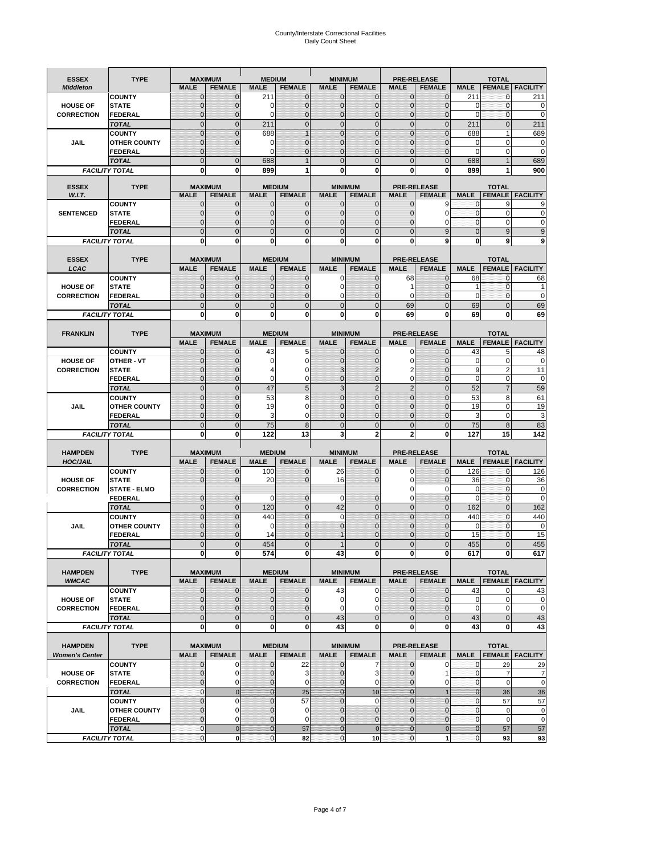# County/Interstate Correctional Facilities Daily Count Sheet

| <b>ESSEX</b>                         | <b>TYPE</b>                         |                                  | <b>MAXIMUM</b>                  | <b>MEDIUM</b>                |                                | <b>MINIMUM</b>               |                                 |                             | <b>PRE-RELEASE</b>                  |                            | <b>TOTAL</b>                  |                        |
|--------------------------------------|-------------------------------------|----------------------------------|---------------------------------|------------------------------|--------------------------------|------------------------------|---------------------------------|-----------------------------|-------------------------------------|----------------------------|-------------------------------|------------------------|
| <b>Middleton</b>                     |                                     | <b>MALE</b>                      | <b>FEMALE</b>                   | <b>MALE</b>                  | <b>FEMALE</b>                  | <b>MALE</b>                  | <b>FEMALE</b>                   | <b>MALE</b>                 | <b>FEMALE</b>                       | <b>MALE</b>                |                               | <b>FEMALE FACILITY</b> |
|                                      | <b>COUNTY</b>                       | 0                                | $\mathbf 0$                     | 211                          | 0                              | $\mathbf{0}$                 | $\mathbf{0}$                    | $\mathbf{0}$                | $\Omega$                            | 211                        | 0                             | 211                    |
| <b>HOUSE OF</b>                      | <b>STATE</b>                        | 0                                | $\mathbf 0$                     | 0                            | 0                              | $\mathbf 0$                  | $\mathbf{0}$                    | $\mathbf{0}$                | $\Omega$                            | $\Omega$                   | $\mathbf{0}$                  | 0                      |
| <b>CORRECTION</b>                    | <b>FEDERAL</b>                      | $\Omega$<br>$\mathbf 0$          | $\mathbf 0$<br>$\overline{0}$   | $\Omega$                     | $\overline{0}$<br>$\mathbf 0$  | $\mathbf{0}$<br>$\mathbf{0}$ | $\mathbf{0}$<br>$\mathbf{0}$    | $\mathbf{0}$<br>$\mathbf 0$ | $\Omega$<br>$\mathbf{0}$            | $\Omega$                   | $\mathbf{0}$<br>$\mathbf{0}$  | $\mathbf 0$<br>211     |
|                                      | <b>TOTAL</b><br><b>COUNTY</b>       | $\mathbf 0$                      | $\mathbf{0}$                    | 211<br>688                   | $\overline{1}$                 | $\mathbf{0}$                 | $\mathbf 0$                     | $\mathbf{0}$                | $\overline{0}$                      | 211<br>688                 | $\mathbf{1}$                  | 689                    |
| JAIL                                 | <b>OTHER COUNTY</b>                 | $\mathbf{0}$                     | $\mathbf 0$                     | 0                            | 0                              | $\mathbf{0}$                 | $\Omega$                        | $\mathbf{0}$                | ſ                                   | $\Omega$                   | 0                             | 0                      |
|                                      | <b>FEDERAL</b>                      | $\mathbf{0}$                     |                                 | $\Omega$                     | 0                              | $\mathbf 0$                  | $\mathbf 0$                     | $\mathbf{0}$                | $\mathbf 0$                         | $\mathbf 0$                | 0                             | $\mathbf 0$            |
|                                      | <b>TOTAL</b>                        | $\Omega$                         | $\mathbf 0$                     | 688                          | 1                              | $\mathbf{0}$                 | $\Omega$                        | $\overline{0}$              | $\Omega$                            | 688                        |                               | 689                    |
|                                      | <b>FACILITY TOTAL</b>               | 0                                | 0                               | 899                          | 1                              | $\bf{0}$                     | 0                               | 0                           | 0                                   | 899                        |                               | 900                    |
|                                      |                                     |                                  |                                 |                              |                                |                              |                                 |                             |                                     |                            |                               |                        |
| <b>ESSEX</b><br>W.I.T.               | <b>TYPE</b>                         | <b>MALE</b>                      | <b>MAXIMUM</b><br><b>FEMALE</b> | <b>MALE</b>                  | <b>MEDIUM</b><br><b>FEMALE</b> | <b>MALE</b>                  | <b>MINIMUM</b><br><b>FEMALE</b> | <b>MALE</b>                 | <b>PRE-RELEASE</b><br><b>FEMALE</b> | <b>MALE</b>                | <b>TOTAL</b><br><b>FEMALE</b> | <b>FACILITY</b>        |
|                                      | <b>COUNTY</b>                       | $\mathbf{0}$                     | 0                               | $\mathbf 0$                  | $\mathbf{0}$                   | $\mathbf{0}$                 | $\mathbf{0}$                    | 0                           | 9                                   | 0                          | 9                             | 9                      |
| <b>SENTENCED</b>                     | <b>STATE</b>                        | 0                                | $\overline{0}$                  | $\mathbf{0}$                 | 0                              | $\mathbf{0}$                 | $\mathbf{0}$                    | $\mathbf 0$                 | 0                                   | $\mathbf 0$                | $\mathbf 0$                   | 0                      |
|                                      | <b>FEDERAL</b>                      | $\overline{0}$                   | $\mathbf 0$                     | $\Omega$                     | 0                              | $\mathbf{0}$                 | $\Omega$                        | $\mathbf 0$                 | 0                                   | $\Omega$                   | $\mathbf 0$                   | $\Omega$               |
|                                      | <b>TOTAL</b>                        | $\overline{0}$                   | $\overline{0}$                  | $\mathbf 0$                  | $\overline{0}$                 | $\mathbf{0}$                 | $\overline{0}$                  | $\overline{0}$              | 9                                   | $\mathbf{0}$               | 9                             | 9                      |
|                                      | <b>FACILITY TOTAL</b>               | $\bf{0}$                         | 0                               | $\bf{0}$                     | O                              | $\bf{0}$                     | 0                               | 0                           | 9                                   | $\bf{0}$                   | 9                             | 9                      |
| <b>ESSEX</b>                         | <b>TYPE</b>                         |                                  | <b>MAXIMUM</b>                  |                              | <b>MEDIUM</b>                  |                              | <b>MINIMUM</b>                  |                             | <b>PRE-RELEASE</b>                  |                            | <b>TOTAL</b>                  |                        |
| LCAC                                 |                                     | <b>MALE</b>                      | <b>FEMALE</b>                   | <b>MALE</b>                  | <b>FEMALE</b>                  | <b>MALE</b>                  | <b>FEMALE</b>                   | <b>MALE</b>                 | <b>FEMALE</b>                       | <b>MALE</b>                | <b>FEMALE</b>                 | <b>FACILITY</b>        |
|                                      | <b>COUNTY</b>                       | 0                                | $\mathbf 0$                     | $\mathbf{0}$                 | 0                              | $\mathbf 0$                  | $\mathbf{0}$                    | 68                          | $\Omega$                            | 68                         | $\mathbf 0$                   | 68                     |
| <b>HOUSE OF</b>                      | <b>STATE</b>                        | $\Omega$                         | $\mathbf 0$                     | $\Omega$                     | 0                              | $\Omega$                     | $\Omega$                        | 1                           | $\sqrt{ }$                          | 1                          | $\Omega$                      |                        |
| <b>CORRECTION</b>                    | <b>FEDERAL</b>                      | 0                                | $\overline{0}$                  | $\mathbf{0}$                 | 0                              | $\mathbf 0$                  | $\overline{0}$                  | $\mathbf 0$                 | $\mathcal{C}$                       | $\mathbf 0$                | $\mathbf{0}$                  | $\mathbf 0$            |
|                                      | <b>TOTAL</b>                        | $\overline{0}$                   | $\overline{0}$                  | $\overline{0}$               | $\overline{0}$                 | $\mathbf 0$                  | $\overline{0}$                  | 69                          | $\overline{0}$                      | 69                         | $\Omega$                      | 69                     |
|                                      | <b>FACILITY TOTAL</b>               | 0                                | 0                               | 0                            | 0                              | $\bf{0}$                     | 0                               | 69                          | 0                                   | 69                         | 0                             | 69                     |
|                                      |                                     |                                  |                                 |                              |                                |                              |                                 |                             |                                     |                            |                               |                        |
| <b>FRANKLIN</b>                      | <b>TYPE</b>                         | <b>MALE</b>                      | <b>MAXIMUM</b><br><b>FEMALE</b> | <b>MALE</b>                  | <b>MEDIUM</b><br><b>FEMALE</b> | <b>MALE</b>                  | <b>MINIMUM</b><br><b>FEMALE</b> | <b>MALE</b>                 | <b>PRE-RELEASE</b><br><b>FEMALE</b> | <b>MALE</b>                | <b>TOTAL</b><br><b>FEMALE</b> | <b>FACILITY</b>        |
|                                      | <b>COUNTY</b>                       | 0                                | 0                               | 43                           | 5                              | $\mathbf{0}$                 | 0                               | 0                           | $\Omega$                            | 43                         | 5                             | 48                     |
| <b>HOUSE OF</b>                      | <b>OTHER - VT</b>                   | 0                                | $\overline{0}$                  | $\Omega$                     | 0                              | $\mathbf 0$                  | 0                               | $\mathbf 0$                 | $\sqrt{ }$                          | $\mathbf 0$                | $\mathbf 0$                   | 0                      |
| <b>CORRECTION</b>                    | <b>STATE</b>                        | 0                                | $\mathbf 0$                     | 4                            | 0                              | 3                            | 2                               | 2                           | $\sqrt{ }$                          | 9                          | $\overline{2}$                | 11                     |
|                                      | <b>FEDERAL</b>                      | $\mathbf{0}$                     | $\overline{0}$                  | $\Omega$                     | 0                              | $\mathbf{0}$                 | $\mathbf{0}$                    | 0                           | $\overline{0}$                      | $\mathbf 0$                | $\mathbf 0$                   | $\mathbf 0$            |
|                                      | <b>TOTAL</b>                        | $\mathbf 0$                      | $\mathbf{0}$                    | 47                           | 5                              | 3                            | $\overline{2}$                  | $\overline{2}$              | $\overline{0}$                      | 52                         | $\overline{7}$                | 59                     |
|                                      | <b>COUNTY</b>                       | $\mathbf 0$                      | $\mathbf 0$                     | 53                           | 8                              | $\mathbf 0$                  | $\mathbf 0$                     | $\mathbf{0}$                | $\overline{0}$                      | 53                         | 8                             | 61                     |
| <b>JAIL</b>                          | <b>OTHER COUNTY</b>                 | $\overline{0}$<br>$\overline{0}$ | $\mathbf 0$<br>$\overline{0}$   | 19<br>3                      | 0<br>0                         | $\Omega$<br>$\mathbf{0}$     | $\Omega$<br>$\overline{0}$      | $\mathbf 0$<br>$\mathbf{0}$ | $\sqrt{ }$<br>$\mathbf 0$           | 19<br>3                    | $\Omega$<br>$\mathbf 0$       | 19<br>3                |
|                                      | <b>FEDERAL</b><br><b>TOTAL</b>      | $\mathbf 0$                      | $\mathbf 0$                     | 75                           | 8                              | $\mathbf 0$                  | $\overline{0}$                  | $\mathbf 0$                 | $\Omega$                            | 75                         | 8                             | 83                     |
|                                      | <b>FACILITY TOTAL</b>               | $\bf{0}$                         | 0                               | 122                          | 13                             | 3                            | $\mathbf{2}$                    | $\overline{2}$              | 0                                   | 127                        | 15                            | 142                    |
|                                      |                                     |                                  |                                 |                              |                                |                              |                                 |                             |                                     |                            |                               |                        |
| <b>HAMPDEN</b>                       | <b>TYPE</b>                         |                                  | <b>MAXIMUM</b>                  | <b>MEDIUM</b>                |                                | <b>MINIMUM</b>               |                                 |                             | <b>PRE-RELEASE</b>                  |                            | <b>TOTAL</b>                  |                        |
| <b>HOC/JAIL</b>                      |                                     | <b>MALE</b>                      | <b>FEMALE</b>                   | <b>MALE</b>                  | <b>FEMALE</b>                  | <b>MALE</b>                  | <b>FEMALE</b>                   | <b>MALE</b>                 | <b>FEMALE</b>                       | <b>MALE</b>                | <b>FEMALE</b>                 | <b>FACILITY</b>        |
|                                      | <b>COUNTY</b>                       | $\mathbf{0}$                     | 0                               | 100                          | 0                              | 26                           | $\mathbf 0$                     | 0                           | $\Omega$                            | 126                        | $\mathbf 0$                   | 126                    |
| <b>HOUSE OF</b><br><b>CORRECTION</b> | <b>STATE</b><br><b>STATE - ELMO</b> | $\Omega$                         | $\overline{0}$                  | 20                           | 0                              | 16                           | $\Omega$                        | 0<br>0                      | $\Omega$<br>$\Omega$                | 36<br>0                    | $\mathbf{0}$<br>$\mathbf{0}$  | 36<br>0                |
|                                      | <b>FEDERAL</b>                      | $\mathbf{0}$                     | $\mathbf 0$                     | 0                            | 0                              | 0                            | 0                               | $\mathbf 0$                 | $\overline{0}$                      | $\Omega$                   | $\mathbf{0}$                  | 0                      |
|                                      | <b>TOTAL</b>                        | $\mathbf{0}$                     | $\overline{0}$                  | 120                          | $\overline{0}$                 | 42                           | $\mathbf{0}$                    | $\overline{0}$              | $\overline{0}$                      | 162                        | $\mathbf{0}$                  | 162                    |
|                                      | <b>COUNTY</b>                       | $\Omega$                         | $\overline{0}$                  | 440                          | $\overline{0}$                 | $\Omega$                     | $\Omega$                        | $\overline{0}$              | $\Omega$                            | 440                        | $\Omega$                      | 440                    |
| JAIL                                 | <b>OTHER COUNTY</b>                 | 0                                | $\mathbf 0$                     | 0                            | 0                              | $\mathbf{0}$                 | $\Omega$                        | $\mathbf 0$                 | $\Omega$                            | $\mathbf 0$                | $\mathbf{0}$                  | $\mathbf 0$            |
|                                      | <b>FEDERAL</b>                      | $\Omega$                         | $\Omega$                        | 14                           | $\Omega$                       |                              | $\Omega$                        | $\mathbf 0$                 | $\Omega$                            | 15                         | $\Omega$                      | 15                     |
|                                      | <b>TOTAL</b>                        | $\overline{0}$                   | $\sqrt{ }$                      | 454                          | $\overline{0}$                 |                              | $\Omega$                        | $\overline{0}$              |                                     | 455                        |                               | 455                    |
|                                      | <b>FACILITY TOTAL</b>               | $\mathbf{0}$                     | 0                               | 574                          | 0                              | 43                           | 0                               | $\mathbf{0}$                | 0                                   | 617                        | 0                             | 617                    |
| <b>HAMPDEN</b>                       | <b>TYPE</b>                         |                                  | <b>MAXIMUM</b>                  |                              | <b>MEDIUM</b>                  |                              | <b>MINIMUM</b>                  |                             | PRE-RELEASE                         |                            | <b>TOTAL</b>                  |                        |
| <b>WMCAC</b>                         |                                     | <b>MALE</b>                      | <b>FEMALE</b>                   | <b>MALE</b>                  | <b>FEMALE</b>                  | <b>MALE</b>                  | <b>FEMALE</b>                   | <b>MALE</b>                 | <b>FEMALE</b>                       | <b>MALE</b>                |                               | <b>FEMALE FACILITY</b> |
|                                      | <b>COUNTY</b>                       | 0                                | $\mathbf 0$                     | $\mathbf{0}$                 | 0                              | 43                           | 0                               | $\mathbf 0$                 | $\mathbf 0$                         | 43                         | 0                             | 43                     |
| <b>HOUSE OF</b>                      | <b>STATE</b>                        | 0                                | $\mathbf{0}$                    | $\mathbf{0}$                 | 0                              | 0                            | 0                               | $\mathbf{0}$                | $\overline{0}$                      | $\mathbf 0$                | $\mathbf 0$                   | $\pmb{0}$              |
| <b>CORRECTION</b>                    | <b>FEDERAL</b>                      | 0                                | $\overline{0}$                  | $\overline{0}$               | 0                              | $\mathbf 0$                  | 0                               | 0                           | $\overline{0}$                      | $\mathbf 0$                | $\mathbf 0$                   | $\pmb{0}$              |
|                                      | <b>TOTAL</b>                        | $\mathbf 0$                      | $\mathbf 0$                     | $\mathbf{0}$                 | $\mathbf 0$                    | 43                           | $\mathbf 0$                     | $\mathbf 0$                 | $\mathbf 0$                         | 43                         | $\mathbf 0$                   | 43                     |
|                                      | <b>FACILITY TOTAL</b>               | 0                                | 0                               | $\mathbf{0}$                 | 0                              | 43                           | 0                               | 0                           | $\mathbf 0$                         | 43                         | 0                             | 43                     |
| <b>HAMPDEN</b>                       | <b>TYPE</b>                         |                                  | <b>MAXIMUM</b>                  |                              | <b>MEDIUM</b>                  |                              | <b>MINIMUM</b>                  |                             | <b>PRE-RELEASE</b>                  |                            | <b>TOTAL</b>                  |                        |
| <b>Women's Center</b>                |                                     | <b>MALE</b>                      | <b>FEMALE</b>                   | <b>MALE</b>                  | <b>FEMALE</b>                  | <b>MALE</b>                  | <b>FEMALE</b>                   | <b>MALE</b>                 | <b>FEMALE</b>                       | <b>MALE</b>                |                               | <b>FEMALE FACILITY</b> |
|                                      | <b>COUNTY</b>                       | 0                                | 0                               | 0                            | 22                             | $\bf{0}$                     | 7                               | 0                           | 0                                   | 0                          | 29                            | 29                     |
| <b>HOUSE OF</b>                      | <b>STATE</b>                        | $\mathbf{0}$                     | $\mathbf 0$                     | $\mathbf 0$                  | 3                              | $\mathbf{0}$                 | 3                               | $\mathbf{0}$                | 1                                   | $\mathbf{0}$               | $\overline{7}$                | 7                      |
| <b>CORRECTION</b>                    | <b>FEDERAL</b>                      | 0                                | 0                               | 0                            | 0                              | $\mathbf 0$                  | 0                               | $\mathbf{0}$                | 0                                   | $\mathbf 0$                | $\mathbf 0$                   | $\mathbf 0$            |
|                                      | <b>TOTAL</b>                        | $\mathbf{0}$                     | $\mathbf{0}$                    | $\overline{0}$               | 25                             | $\overline{0}$               | 10                              | $\mathbf{0}$                | $\overline{1}$                      | $\mathbf{0}$               | 36                            | 36                     |
|                                      | <b>COUNTY</b>                       | $\mathbf 0$<br>$\overline{0}$    | $\mathbf 0$<br>0                | $\mathbf{0}$                 | 57                             | $\mathbf{0}$<br>$\mathbf{0}$ | $\Omega$                        | $\overline{0}$              | $\overline{0}$<br>$\Omega$          | $\mathbf{0}$               | 57                            | 57                     |
| JAIL                                 | <b>OTHER COUNTY</b><br>FEDERAL      | 0                                | 0                               | $\mathbf{0}$<br>$\mathbf{0}$ | 0<br>0                         | $\mathbf 0$                  | $\mathbf{0}$<br>$\mathbf{0}$    | $\mathbf{0}$<br>0           | $\overline{0}$                      | $\mathbf 0$<br>$\mathbf 0$ | $\mathbf 0$<br>$\mathbf 0$    | 0<br>$\mathbf 0$       |
|                                      | <b>TOTAL</b>                        | $\mathbf{0}$                     | $\mathbf 0$                     | $\overline{0}$               | 57                             | $\bf{0}$                     | $\overline{0}$                  | $\bf{0}$                    | $\pmb{0}$                           | $\mathbf{0}$               | 57                            | 57                     |
|                                      | <b>FACILITY TOTAL</b>               | 0                                | $\pmb{0}$                       | $\pmb{0}$                    | 82                             | $\mathbf 0$                  | 10                              | $\mathbf{0}$                | 1                                   | $\pmb{0}$                  | 93                            | 93                     |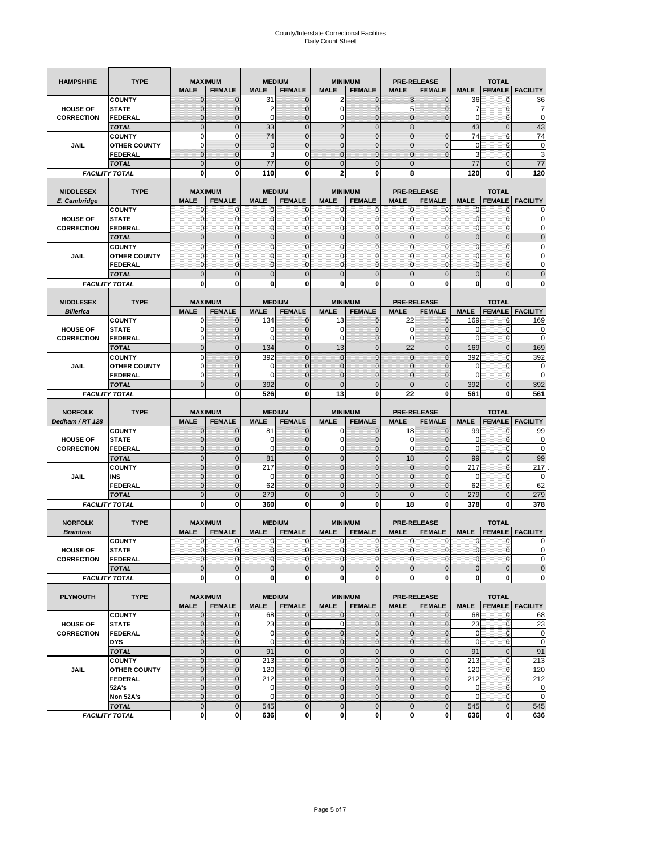| <b>HAMPSHIRE</b>                   | <b>TYPE</b>                   | <b>MAXIMUM</b>                |                     |                    | <b>MEDIUM</b>                  | <b>MINIMUM</b>                |                                 |                     | <b>PRE-RELEASE</b>                  |                     | <b>TOTAL</b>                   |                        |
|------------------------------------|-------------------------------|-------------------------------|---------------------|--------------------|--------------------------------|-------------------------------|---------------------------------|---------------------|-------------------------------------|---------------------|--------------------------------|------------------------|
|                                    |                               | <b>MALE</b>                   | <b>FEMALE</b>       | <b>MALE</b>        | <b>FEMALE</b>                  | <b>MALE</b>                   | <b>FEMALE</b>                   | <b>MALE</b>         | <b>FEMALE</b>                       | <b>MALE</b>         | <b>FEMALE</b>                  | <b>FACILITY</b>        |
|                                    | <b>COUNTY</b>                 | $\mathbf 0$                   | $\overline{0}$      | 31                 | $\mathbf 0$                    | 2                             | $\mathbf{0}$                    | 3                   | $\overline{0}$                      | 36                  | 0                              | 36                     |
| <b>HOUSE OF</b>                    | <b>STATE</b>                  | ∩                             | 0                   | 2                  | $\mathbf{0}$                   | 0                             | $\mathbf 0$                     | 5                   | 0                                   | 7                   | $\mathbf 0$                    | 7                      |
| <b>CORRECTION</b>                  | <b>FEDERAL</b>                | $\mathbf{0}$                  | 0                   | $\mathbf 0$        | $\mathbf{0}$                   | 0                             | $\mathbf{0}$                    | $\mathbf{0}$        | $\overline{0}$                      | $\mathbf 0$         | $\mathbf 0$                    | $\mathbf 0$            |
|                                    | <b>TOTAL</b>                  | $\overline{0}$                | $\mathbf 0$         | 33                 | $\overline{0}$                 | $\overline{2}$                | $\overline{0}$                  | $\boldsymbol{8}$    |                                     | 43                  | $\mathbf 0$                    | 43                     |
|                                    | <b>COUNTY</b>                 | $\Omega$                      | $\mathbf 0$         | 74                 | $\mathbf{0}$                   | $\overline{0}$                | $\overline{0}$                  | $\overline{0}$      | $\mathbf 0$                         | 74                  | $\mathbf 0$                    | 74                     |
| JAIL                               | <b>OTHER COUNTY</b>           | 0                             | $\overline{0}$      | $\overline{0}$     | $\mathbf{0}$                   | $\overline{0}$                | $\mathbf{0}$                    | 0                   | $\overline{0}$                      | $\mathbf 0$         | $\mathbf{0}$                   | $\pmb{0}$              |
|                                    | <b>FEDERAL</b>                | $\mathbf{0}$                  | $\overline{0}$      | 3                  | 0                              | $\overline{0}$                | $\overline{0}$                  | $\mathbf{0}$        | $\overline{0}$                      | 3                   | $\mathbf 0$                    | 3                      |
|                                    | <b>TOTAL</b>                  | $\Omega$                      | $\overline{0}$      | 77                 | $\mathbf 0$                    | $\mathbf 0$                   | $\overline{0}$                  | $\mathbf{0}$        |                                     | 77                  | $\mathbf 0$                    | 77                     |
|                                    | <b>FACILITY TOTAL</b>         | $\bf{0}$                      | 0                   | 110                | 0                              | 2                             | 0                               | 8                   |                                     | 120                 | 0                              | 120                    |
|                                    |                               |                               |                     |                    |                                |                               |                                 |                     |                                     |                     |                                |                        |
| <b>MIDDLESEX</b><br>E. Cambridge   | <b>TYPE</b>                   | <b>MAXIMUM</b><br><b>MALE</b> | <b>FEMALE</b>       | <b>MALE</b>        | <b>MEDIUM</b><br><b>FEMALE</b> | <b>MINIMUM</b><br><b>MALE</b> | <b>FEMALE</b>                   | <b>MALE</b>         | <b>PRE-RELEASE</b><br><b>FEMALE</b> | <b>MALE</b>         | <b>TOTAL</b><br><b>FEMALE</b>  | <b>FACILITY</b>        |
|                                    | <b>COUNTY</b>                 | 0                             | $\mathbf 0$         | 0                  | 0                              | 0                             | $\mathbf{0}$                    | $\mathbf 0$         | 0                                   | 0                   | $\mathbf{0}$                   | 0                      |
| <b>HOUSE OF</b>                    | <b>STATE</b>                  | $\pmb{0}$                     | $\mathbf{0}$        | $\mathbf 0$        | $\mathbf 0$                    | 0                             | $\mathbf{0}$                    | $\mathbf 0$         | 0                                   | $\mathbf 0$         | $\mathbf 0$                    | $\mathbf 0$            |
| <b>CORRECTION</b>                  | <b>FEDERAL</b>                | $\mathbf{0}$                  | $\mathbf{0}$        | $\mathbf 0$        | $\mathbf{O}$                   | $\mathbf{0}$                  | $\mathbf{0}$                    | $\mathbf{0}$        | $\mathbf 0$                         | $\mathbf 0$         | $\mathbf 0$                    | $\pmb{0}$              |
|                                    | <b>TOTAL</b>                  | $\mathbf{0}$                  | $\overline{0}$      | $\overline{0}$     | $\mathbf{0}$                   | $\overline{0}$                | $\mathbf 0$                     | $\mathbf{0}$        | $\overline{0}$                      | $\overline{0}$      | $\overline{0}$                 | $\pmb{0}$              |
|                                    | <b>COUNTY</b>                 | $\mathbf{0}$                  | $\mathbf{0}$        | $\mathbf 0$        | $\mathbf{O}$                   | $\mathbf{0}$                  | $\mathbf{0}$                    | $\mathbf{O}$        | $\overline{0}$                      | $\mathbf 0$         | $\mathbf{0}$                   | $\pmb{0}$              |
| JAIL                               | <b>OTHER COUNTY</b>           | $\Omega$                      | $\mathbf 0$         | $\mathbf{0}$       | $\Omega$                       | $\mathbf{0}$                  | $\mathbf{0}$                    | $\mathbf{0}$        | $\overline{0}$                      | $\mathbf 0$         | $\mathbf{0}$                   | $\mathbf 0$            |
|                                    | <b>FEDERAL</b>                | $\mathbf{0}$                  | $\mathbf 0$         | $\mathbf 0$        | $\mathbf{O}$                   | 0                             | $\mathbf{0}$                    | $\mathbf{O}$        | 0                                   | $\mathbf 0$         | $\mathbf 0$                    | $\mathbf 0$            |
|                                    | <b>TOTAL</b>                  | $\mathbf{0}$                  | $\overline{0}$      | $\overline{0}$     | $\mathbf{0}$                   | $\mathbf 0$                   | $\mathbf 0$                     | $\mathbf{0}$        | $\overline{0}$                      | $\mathbf 0$         | $\overline{0}$                 | $\mathbf 0$            |
|                                    | <b>FACILITY TOTAL</b>         | 0                             | $\bf{0}$            | 0                  | 0                              | 0                             | 0                               | 0                   | 0                                   | 0                   | 0                              | $\bf{0}$               |
|                                    |                               |                               |                     |                    |                                |                               |                                 |                     |                                     |                     |                                |                        |
| <b>MIDDLESEX</b>                   | <b>TYPE</b>                   | <b>MAXIMUM</b>                |                     |                    | <b>MEDIUM</b>                  | <b>MINIMUM</b>                |                                 |                     | <b>PRE-RELEASE</b>                  |                     | <b>TOTAL</b>                   |                        |
| <b>Billerica</b>                   |                               | <b>MALE</b>                   | <b>FEMALE</b>       | <b>MALE</b>        | <b>FEMALE</b>                  | <b>MALE</b>                   | <b>FEMALE</b>                   | <b>MALE</b>         | <b>FEMALE</b>                       | <b>MALE</b>         | <b>FEMALE</b>                  | <b>FACILITY</b>        |
|                                    | <b>COUNTY</b>                 | 0                             | $\overline{0}$      | 134                | $\mathbf 0$                    | 13                            | $\mathbf 0$                     | 22                  | $\overline{0}$                      | 169                 | $\mathbf{0}$                   | 169                    |
| <b>HOUSE OF</b>                    | <b>STATE</b>                  |                               | $\overline{0}$      | 0                  | $\mathbf 0$                    | 0                             | $\overline{0}$                  | 0                   | $\overline{0}$                      | 0<br>$\overline{0}$ | $\mathbf{0}$                   | 0<br>$\mathbf 0$       |
| <b>CORRECTION</b>                  | FEDERAL                       | $\Omega$<br>$\mathbf{0}$      | 0<br>$\overline{0}$ | 0                  | $\mathbf{0}$<br>$\mathbf{0}$   | 0                             | $\mathbf{0}$<br>$\mathbf{0}$    | $\mathbf 0$<br>22   | 0<br>$\overline{0}$                 |                     | $\mathbf 0$                    |                        |
|                                    | <b>TOTAL</b><br><b>COUNTY</b> | $\Omega$                      | $\overline{0}$      | 134<br>392         | $\mathbf 0$                    | 13<br>$\overline{0}$          | $\Omega$                        | $\mathbf{0}$        | $\overline{0}$                      | 169                 | $\overline{0}$<br>$\mathbf{0}$ | 169                    |
| JAIL                               | <b>OTHER COUNTY</b>           | $\Omega$                      | 0                   | 0                  | $\overline{0}$                 | 0                             | $\mathbf{0}$                    | $\overline{0}$      | 0                                   | 392<br>0            | $\mathbf{0}$                   | 392<br>0               |
|                                    | <b>FEDERAL</b>                | 0                             | $\overline{0}$      | $\mathbf 0$        | 0                              | $\overline{0}$                | $\overline{0}$                  | 0                   | $\overline{0}$                      | $\mathbf 0$         | $\mathbf{0}$                   | $\mathbf 0$            |
|                                    | <b>TOTAL</b>                  | $\Omega$                      | $\mathbf 0$         | 392                | $\mathbf{0}$                   | $\mathbf 0$                   | $\mathbf 0$                     | $\mathbf{0}$        | $\overline{0}$                      | 392                 | $\mathbf 0$                    | 392                    |
|                                    | <b>FACILITY TOTAL</b>         |                               | $\mathbf 0$         | 526                | $\bf{0}$                       | 13                            | 0                               | 22                  | 0                                   | 561                 | $\bf{0}$                       | 561                    |
|                                    |                               |                               |                     |                    |                                |                               |                                 |                     |                                     |                     |                                |                        |
|                                    |                               |                               |                     |                    |                                |                               |                                 |                     |                                     |                     |                                |                        |
| <b>NORFOLK</b>                     | <b>TYPE</b>                   | <b>MAXIMUM</b>                |                     |                    | <b>MEDIUM</b>                  | <b>MINIMUM</b>                |                                 |                     | <b>PRE-RELEASE</b>                  |                     | <b>TOTAL</b>                   |                        |
| Dedham / RT 128                    |                               | <b>MALE</b>                   | <b>FEMALE</b>       | <b>MALE</b>        | <b>FEMALE</b>                  | <b>MALE</b>                   | <b>FEMALE</b>                   | <b>MALE</b>         | <b>FEMALE</b>                       | <b>MALE</b>         | <b>FEMALE</b>                  | <b>FACILITY</b>        |
|                                    | <b>COUNTY</b>                 | $\Omega$                      | 0                   | 81                 | 0                              | 0                             | $\mathbf 0$                     | 18                  | $\overline{0}$                      | 99                  | 0                              | 99                     |
| <b>HOUSE OF</b>                    | <b>STATE</b>                  | $\Omega$                      | $\overline{0}$      | 0                  | $\mathbf{0}$                   | 0                             | $\overline{0}$                  | 0                   | $\overline{0}$                      | 0                   | 0                              | $\mathbf 0$            |
| <b>CORRECTION</b>                  | <b>FEDERAL</b>                | $\Omega$                      | 0                   | 0                  | $\mathbf{0}$                   | 0                             | $\mathbf 0$                     | 0                   | 0                                   | $\mathbf 0$         | $\mathbf 0$                    | $\mathbf 0$            |
|                                    | <b>TOTAL</b>                  | $\Omega$                      | $\overline{0}$      | 81                 | $\mathbf{0}$                   | $\mathbf 0$                   | $\mathbf 0$                     | 18                  | $\overline{0}$                      | 99                  | $\mathbf 0$                    | 99                     |
|                                    | <b>COUNTY</b>                 | $\overline{0}$                | $\overline{0}$      | 217                | $\mathbf{0}$                   | $\overline{0}$                | $\overline{0}$                  | 0                   | $\overline{0}$                      | 217                 | $\mathbf{0}$                   | 217                    |
| JAIL                               | INS                           | $\mathbf{0}$                  | 0                   | 0                  | $\overline{0}$                 | 0                             | $\mathbf 0$                     | 0                   | 0                                   | 0                   | 0                              | $\mathbf 0$            |
|                                    | <b>FEDERAL</b>                | $\Omega$                      | $\overline{0}$      | 62                 | $\mathbf 0$                    | $\overline{0}$                | $\overline{0}$                  | 0                   | $\overline{0}$                      | 62                  | $\mathbf{0}$                   | 62                     |
|                                    | <b>TOTAL</b>                  | $\mathbf 0$                   | $\overline{0}$      | 279                | $\mathbf 0$                    | $\overline{0}$                | $\overline{0}$                  | $\Omega$            | $\overline{0}$                      | 279                 | $\overline{0}$                 | 279                    |
|                                    | <b>FACILITY TOTAL</b>         | $\mathbf 0$                   | $\mathbf 0$         | 360                | 0                              | 0                             | 0                               | 18                  | 0                                   | 378                 | $\bf{0}$                       | 378                    |
|                                    |                               |                               |                     |                    |                                |                               |                                 |                     |                                     |                     |                                |                        |
| <b>NORFOLK</b><br><b>Braintree</b> | <b>TYPE</b>                   | <b>MAXIMUM</b><br><b>MALE</b> | <b>FEMALE</b>       | <b>MALE</b>        | <b>MEDIUM</b><br><b>FEMALE</b> | <b>MALE</b>                   | <b>MINIMUM</b><br><b>FEMALE</b> | <b>MALE</b>         | <b>PRE-RELEASE</b><br><b>FEMALE</b> | <b>MALE</b>         | <b>TOTAL</b><br><b>FEMALE</b>  | <b>FACILITY</b>        |
|                                    | <b>COUNTY</b>                 | $\mathbf 0$                   | $\mathbf 0$         | 0                  | $\mathbf 0$                    | 0                             | $\mathbf{0}$                    | $\mathbf 0$         | $\mathbf 0$                         | 0                   | 0                              | 0                      |
| <b>HOUSE OF</b>                    | <b>STATE</b>                  | $\mathbf{0}$                  | $\overline{0}$      | $\mathbf 0$        | $\overline{0}$                 | $\overline{0}$                | $\mathbf{0}$                    | $\overline{0}$      | $\mathbf{0}$                        | $\mathbf{0}$        | 0                              | $\Omega$               |
| <b>CORRECTION</b>                  | FEDERAL                       | $\mathbf 0$                   | 0                   | 0                  | $\mathbf 0$                    | $\pmb{0}$                     | 0                               | $\mathbf 0$         | $\mathbf 0$                         | $\pmb{0}$           | 0                              | $\mathbf 0$            |
|                                    | <b>TOTAL</b>                  | $\mathbf{0}$                  | $\mathbf{0}$        | $\mathbf 0$        | $\mathbf{0}$                   | $\mathbf 0$                   | $\pmb{0}$                       | $\mathbf{0}$        | $\mathbf 0$                         | $\mathbf 0$         | $\mathbf 0$                    | $\mathbf 0$            |
|                                    | <b>FACILITY TOTAL</b>         | $\mathbf{0}$                  | $\mathbf{0}$        | 0                  | $\mathbf 0$                    | $\mathbf{0}$                  | $\bf{0}$                        | $\mathbf 0$         | $\mathbf{0}$                        | $\mathbf 0$         | 0                              | $\mathbf 0$            |
|                                    |                               |                               |                     |                    |                                |                               |                                 |                     |                                     |                     |                                |                        |
| <b>PLYMOUTH</b>                    | <b>TYPE</b>                   |                               | <b>MAXIMUM</b>      |                    | <b>MEDIUM</b>                  |                               | <b>MINIMUM</b>                  |                     | <b>PRE-RELEASE</b>                  |                     | <b>TOTAL</b>                   |                        |
|                                    |                               | <b>MALE</b>                   | <b>FEMALE</b>       | <b>MALE</b>        | <b>FEMALE</b>                  | <b>MALE</b>                   | <b>FEMALE</b>                   | <b>MALE</b>         | <b>FEMALE</b>                       | <b>MALE</b>         |                                | <b>FEMALE FACILITY</b> |
|                                    | <b>COUNTY</b>                 | $\mathbf{0}$                  | $\mathbf{0}$        | 68                 | $\mathbf{0}$                   | 0                             | $\mathbf{0}$                    | $\mathbf{0}$        | $\overline{0}$                      | 68                  | 0                              | 68                     |
| <b>HOUSE OF</b>                    | <b>STATE</b>                  | $\mathbf{0}$                  | 0                   | 23                 | $\mathbf{0}$                   | 0                             | $\pmb{0}$                       | $\mathbf 0$         | $\overline{0}$                      | 23                  | $\mathbf{0}$                   | 23                     |
| <b>CORRECTION</b>                  | <b>FEDERAL</b>                | $\Omega$                      | 0                   | 0                  | $\mathbf{0}$                   | 0                             | $\mathbf{0}$                    | $\mathbf{0}$        | 0                                   | $\mathbf 0$         | $\mathbf{0}$                   | $\mathbf 0$            |
|                                    | <b>DYS</b>                    | $\mathbf{0}$                  | 0                   | $\mathbf 0$        | $\mathbf 0$                    | 0                             | $\pmb{0}$                       | $\mathbf 0$         | $\overline{0}$                      | $\mathbf 0$         | $\mathbf{0}$                   | $\mathbf 0$            |
|                                    | <b>TOTAL</b>                  | $\mathbf 0$                   | $\mathbf 0$         | 91                 | $\mathbf 0$                    | $\mathbf 0$                   | $\mathbf 0$                     | $\mathbf 0$         | $\mathbf 0$                         | 91                  | $\pmb{0}$                      | 91                     |
|                                    | <b>COUNTY</b>                 | $\overline{0}$                | $\overline{0}$      | 213                | $\pmb{0}$                      | $\mathbf 0$                   | $\mathbf 0$                     | $\pmb{0}$           | $\mathbf 0$                         | 213                 | $\mathbf{0}$                   | 213                    |
| JAIL                               | <b>OTHER COUNTY</b>           | $\mathbf{0}$<br>$\Omega$      | 0                   | 120                | $\overline{0}$                 | 0                             | $\mathbf{0}$                    | 0                   | $\overline{0}$                      | 120                 | $\mathbf{0}$                   | 120                    |
|                                    | <b>FEDERAL</b><br>52A's       | $\Omega$                      | 0<br>$\overline{0}$ | 212<br>$\mathbf 0$ | $\mathbf 0$<br>$\overline{0}$  | 0<br>$\overline{0}$           | $\mathbf{0}$<br>$\mathbf 0$     | 0<br>$\overline{0}$ | 0<br>$\overline{0}$                 | 212<br>$\mathbf 0$  | $\mathbf 0$<br>$\mathbf 0$     | 212<br>$\mathbf 0$     |
|                                    | Non 52A's                     | $\mathbf{0}$                  | 0                   | 0                  | $\mathbf{0}$                   | 0                             | $\mathbf 0$                     | $\mathbf 0$         | 0                                   | 0                   | 0                              | $\mathbf 0$            |
|                                    | <b>TOTAL</b>                  | $\overline{0}$                | $\overline{0}$      | 545                | $\overline{0}$                 | $\overline{0}$                | $\mathbf{0}$                    | $\mathbf{0}$        | $\mathbf 0$                         | 545                 | $\mathbf 0$                    | 545                    |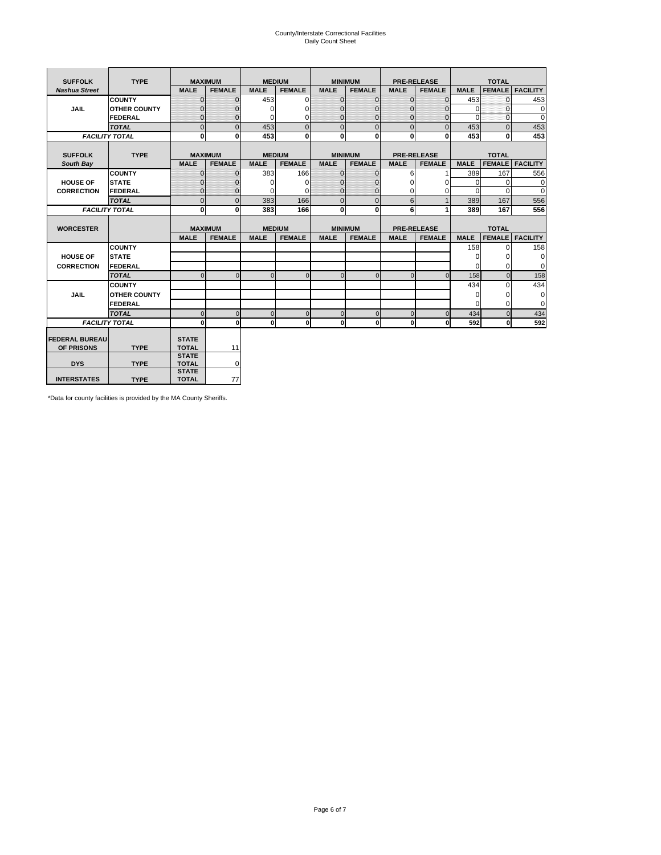# County/Interstate Correctional Facilities Daily Count Sheet

| <b>SUFFOLK</b>        | <b>TYPE</b>           |                              | <b>MAXIMUM</b> |               | <b>MEDIUM</b> |                | <b>MINIMUM</b> |              | <b>PRE-RELEASE</b> |             | <b>TOTAL</b>  |                 |
|-----------------------|-----------------------|------------------------------|----------------|---------------|---------------|----------------|----------------|--------------|--------------------|-------------|---------------|-----------------|
| <b>Nashua Street</b>  |                       | <b>MALE</b>                  | <b>FEMALE</b>  | <b>MALE</b>   | <b>FEMALE</b> | <b>MALE</b>    | <b>FEMALE</b>  | <b>MALE</b>  | <b>FEMALE</b>      | <b>MALE</b> | <b>FEMALE</b> | <b>FACILITY</b> |
|                       | <b>COUNTY</b>         | $\Omega$                     | $\mathbf{0}$   | 453           | $\Omega$      | $\mathbf{0}$   | $\Omega$       | $\mathbf{0}$ | $\Omega$           | 453         | $\Omega$      | 453             |
| JAIL                  | <b>OTHER COUNTY</b>   | $\Omega$                     | $\Omega$       | $\Omega$      | 0             | $\Omega$       | $\Omega$       | $\Omega$     | $\Omega$           | $\Omega$    | $\Omega$      | 0               |
|                       | <b>FEDERAL</b>        | $\mathbf{0}$                 | $\mathbf{0}$   | 0             | 0             | $\mathbf{0}$   | $\mathbf{0}$   | $\mathbf 0$  | $\mathbf{0}$       | $\Omega$    | 0             | 0               |
|                       | <b>TOTAL</b>          | $\Omega$                     | $\Omega$       | 453           | $\Omega$      | $\overline{0}$ | $\Omega$       | $\Omega$     | $\Omega$           | 453         | $\Omega$      | 453             |
|                       | <b>FACILITY TOTAL</b> | 0                            | $\mathbf{0}$   | 453           | 0             | $\mathbf{0}$   | $\bf{0}$       | $\mathbf{0}$ | 0                  | 453         | 0             | 453             |
|                       |                       |                              |                |               |               |                |                |              |                    |             |               |                 |
| <b>SUFFOLK</b>        | <b>TYPE</b>           |                              | <b>MAXIMUM</b> | <b>MEDIUM</b> |               |                | <b>MINIMUM</b> |              | <b>PRE-RELEASE</b> |             | <b>TOTAL</b>  |                 |
| South Bay             |                       | <b>MALE</b>                  | <b>FEMALE</b>  | <b>MALE</b>   | <b>FEMALE</b> | <b>MALE</b>    | <b>FEMALE</b>  | <b>MALE</b>  | <b>FEMALE</b>      | <b>MALE</b> | <b>FEMALE</b> | <b>FACILITY</b> |
|                       | <b>COUNTY</b>         | $\Omega$                     | $\mathbf{0}$   | 383           | 166           | $\mathbf{0}$   | $\mathbf{0}$   | 6            |                    | 389         | 167           | 556             |
| <b>HOUSE OF</b>       | <b>STATE</b>          |                              | $\overline{0}$ | $\Omega$      | $\Omega$      | $\Omega$       | O              | $\Omega$     | $\Omega$           | $\Omega$    | $\Omega$      | 0               |
| <b>CORRECTION</b>     | <b>FEDERAL</b>        | $\Omega$                     | $\overline{0}$ | 0             | $\Omega$      | $\mathbf{0}$   | $\Omega$       | $\Omega$     | 0                  | $\Omega$    | $\Omega$      | $\Omega$        |
|                       | <b>TOTAL</b>          | $\Omega$                     | $\overline{0}$ | 383           | 166           | $\mathbf 0$    | $\mathbf{0}$   | 6            | $\mathbf{1}$       | 389         | 167           | 556             |
|                       | <b>FACILITY TOTAL</b> | 0                            | 0              | 383           | 166           | $\mathbf{0}$   | 0              | 6            | 1                  | 389         | 167           | 556             |
|                       |                       |                              |                |               |               |                |                |              |                    |             |               |                 |
| <b>WORCESTER</b>      |                       |                              | <b>MAXIMUM</b> | <b>MEDIUM</b> |               |                | <b>MINIMUM</b> |              | <b>PRE-RELEASE</b> |             | <b>TOTAL</b>  |                 |
|                       |                       | <b>MALE</b>                  | <b>FEMALE</b>  | <b>MALE</b>   | <b>FEMALE</b> | <b>MALE</b>    | <b>FEMALE</b>  | <b>MALE</b>  | <b>FEMALE</b>      | <b>MALE</b> | <b>FEMALE</b> | <b>FACILITY</b> |
|                       | <b>COUNTY</b>         |                              |                |               |               |                |                |              |                    | 158         | $\Omega$      | 158             |
| <b>HOUSE OF</b>       | <b>STATE</b>          |                              |                |               |               |                |                |              |                    | 0           | 0             | 0               |
| <b>CORRECTION</b>     | FEDERAL               |                              |                |               |               |                |                |              |                    | $\Omega$    | $\Omega$      | 0               |
|                       | <b>TOTAL</b>          | $\Omega$                     | $\mathbf{0}$   | $\Omega$      | $\mathbf 0$   | $\mathbf{0}$   | $\mathbf{0}$   | $\mathbf{0}$ | $\Omega$           | 158         | $\mathbf{0}$  | 158             |
|                       | <b>COUNTY</b>         |                              |                |               |               |                |                |              |                    | 434         | $\Omega$      | 434             |
| <b>JAIL</b>           | <b>OTHER COUNTY</b>   |                              |                |               |               |                |                |              |                    | $\Omega$    | $\Omega$      | 0               |
|                       | FEDERAL               |                              |                |               |               |                |                |              |                    | $\Omega$    | $\Omega$      | $\mathbf 0$     |
|                       | <b>TOTAL</b>          | $\cap$                       | $\Omega$       | $\Omega$      | $\mathbf{0}$  | $\mathbf{0}$   | $\Omega$       | $\Omega$     | $\Omega$           | 434         | $\Omega$      | 434             |
|                       | <b>FACILITY TOTAL</b> | $\Omega$                     | 0              | $\Omega$      | 0             | $\mathbf{0}$   | $\bf{0}$       | $\mathbf 0$  | 0                  | 592         | O             | 592             |
|                       |                       |                              |                |               |               |                |                |              |                    |             |               |                 |
| <b>FEDERAL BUREAU</b> |                       | <b>STATE</b>                 |                |               |               |                |                |              |                    |             |               |                 |
| OF PRISONS            | <b>TYPE</b>           | <b>TOTAL</b><br><b>STATE</b> | 11             |               |               |                |                |              |                    |             |               |                 |
| <b>DYS</b>            | <b>TYPE</b>           | <b>TOTAL</b>                 | 0              |               |               |                |                |              |                    |             |               |                 |
|                       |                       | <b>STATE</b>                 |                |               |               |                |                |              |                    |             |               |                 |
| <b>INTERSTATES</b>    | <b>TYPE</b>           | <b>TOTAL</b>                 | 77             |               |               |                |                |              |                    |             |               |                 |

\*Data for county facilities is provided by the MA County Sheriffs.